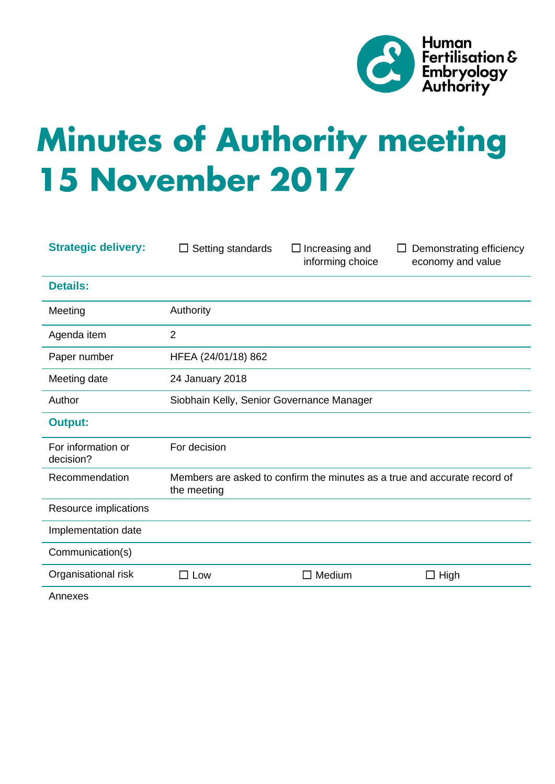

# **Minutes of Authority meeting 15 November 2017**

| <b>Strategic delivery:</b>      | Setting standards                                                                        | $\Box$ Increasing and<br>informing choice | Demonstrating efficiency<br>economy and value |
|---------------------------------|------------------------------------------------------------------------------------------|-------------------------------------------|-----------------------------------------------|
| <b>Details:</b>                 |                                                                                          |                                           |                                               |
| Meeting                         | Authority                                                                                |                                           |                                               |
| Agenda item                     | $\overline{2}$                                                                           |                                           |                                               |
| Paper number                    | HFEA (24/01/18) 862                                                                      |                                           |                                               |
| Meeting date                    | 24 January 2018                                                                          |                                           |                                               |
| Author                          | Siobhain Kelly, Senior Governance Manager                                                |                                           |                                               |
| <b>Output:</b>                  |                                                                                          |                                           |                                               |
| For information or<br>decision? | For decision                                                                             |                                           |                                               |
| Recommendation                  | Members are asked to confirm the minutes as a true and accurate record of<br>the meeting |                                           |                                               |
| Resource implications           |                                                                                          |                                           |                                               |
| Implementation date             |                                                                                          |                                           |                                               |
| Communication(s)                |                                                                                          |                                           |                                               |
| Organisational risk             | $\Box$ Low                                                                               | Medium<br>$\blacksquare$                  | $\square$ High                                |
|                                 |                                                                                          |                                           |                                               |

Annexes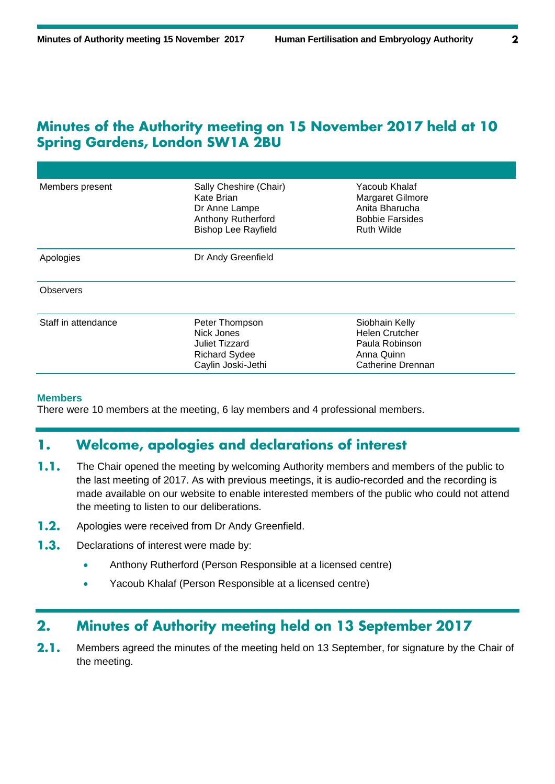## Minutes of the Authority meeting on 15 November 2017 held at 10 **Spring Gardens, London SW1A 2BU**

| Members present     | Sally Cheshire (Chair)<br>Kate Brian<br>Dr Anne Lampe<br><b>Anthony Rutherford</b><br><b>Bishop Lee Rayfield</b> | Yacoub Khalaf<br>Margaret Gilmore<br>Anita Bharucha<br><b>Bobbie Farsides</b><br><b>Ruth Wilde</b> |
|---------------------|------------------------------------------------------------------------------------------------------------------|----------------------------------------------------------------------------------------------------|
| Apologies           | Dr Andy Greenfield                                                                                               |                                                                                                    |
| <b>Observers</b>    |                                                                                                                  |                                                                                                    |
| Staff in attendance | Peter Thompson<br>Nick Jones<br>Juliet Tizzard<br><b>Richard Sydee</b><br>Caylin Joski-Jethi                     | Siobhain Kelly<br><b>Helen Crutcher</b><br>Paula Robinson<br>Anna Quinn<br>Catherine Drennan       |

## **Members**

There were 10 members at the meeting, 6 lay members and 4 professional members.

#### Welcome, apologies and declarations of interest 1.

- $1.1.$ The Chair opened the meeting by welcoming Authority members and members of the public to the last meeting of 2017. As with previous meetings, it is audio-recorded and the recording is made available on our website to enable interested members of the public who could not attend the meeting to listen to our deliberations.
- $1.2.$ Apologies were received from Dr Andy Greenfield.
- $1.3.$ Declarations of interest were made by:
	- Anthony Rutherford (Person Responsible at a licensed centre)
	- Yacoub Khalaf (Person Responsible at a licensed centre)

#### $2.$ **Minutes of Authority meeting held on 13 September 2017**

 $2.1.$ Members agreed the minutes of the meeting held on 13 September, for signature by the Chair of the meeting.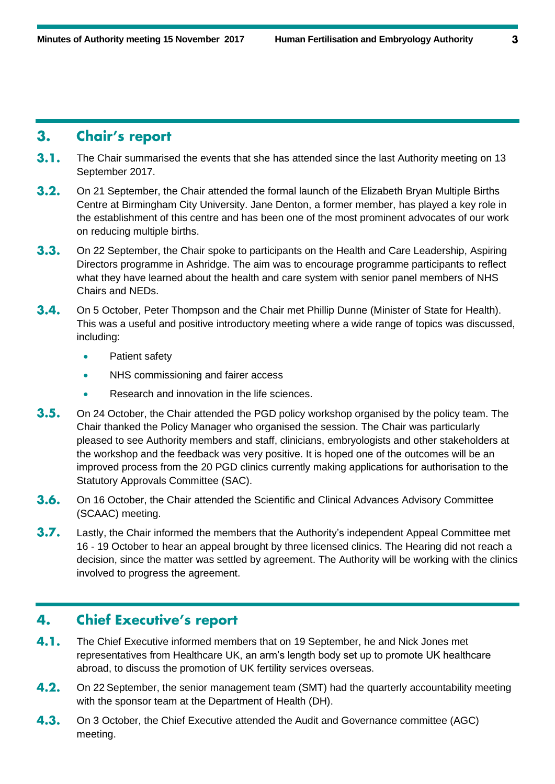## **Chair's report**  $3.$

- $3.1.$ The Chair summarised the events that she has attended since the last Authority meeting on 13 September 2017.
- $3.2.$ On 21 September, the Chair attended the formal launch of the Elizabeth Bryan Multiple Births Centre at Birmingham City University. Jane Denton, a former member, has played a key role in the establishment of this centre and has been one of the most prominent advocates of our work on reducing multiple births.
- $3.3.$ On 22 September, the Chair spoke to participants on the Health and Care Leadership, Aspiring Directors programme in Ashridge. The aim was to encourage programme participants to reflect what they have learned about the health and care system with senior panel members of NHS Chairs and NEDs.
- $3.4.$ On 5 October, Peter Thompson and the Chair met Phillip Dunne (Minister of State for Health). This was a useful and positive introductory meeting where a wide range of topics was discussed, including:
	- Patient safety
	- NHS commissioning and fairer access
	- Research and innovation in the life sciences.
- $3.5.$ On 24 October, the Chair attended the PGD policy workshop organised by the policy team. The Chair thanked the Policy Manager who organised the session. The Chair was particularly pleased to see Authority members and staff, clinicians, embryologists and other stakeholders at the workshop and the feedback was very positive. It is hoped one of the outcomes will be an improved process from the 20 PGD clinics currently making applications for authorisation to the Statutory Approvals Committee (SAC).
- $3.6.$ On 16 October, the Chair attended the Scientific and Clinical Advances Advisory Committee (SCAAC) meeting.
- $3.7.$ Lastly, the Chair informed the members that the Authority's independent Appeal Committee met 16 - 19 October to hear an appeal brought by three licensed clinics. The Hearing did not reach a decision, since the matter was settled by agreement. The Authority will be working with the clinics involved to progress the agreement.

## **Chief Executive's report** 4.

- $4.1.$ The Chief Executive informed members that on 19 September, he and Nick Jones met representatives from Healthcare UK, an arm's length body set up to promote UK healthcare abroad, to discuss the promotion of UK fertility services overseas.
- $4.2.$ On 22 September, the senior management team (SMT) had the quarterly accountability meeting with the sponsor team at the Department of Health (DH).
- $4.3.$ On 3 October, the Chief Executive attended the Audit and Governance committee (AGC) meeting.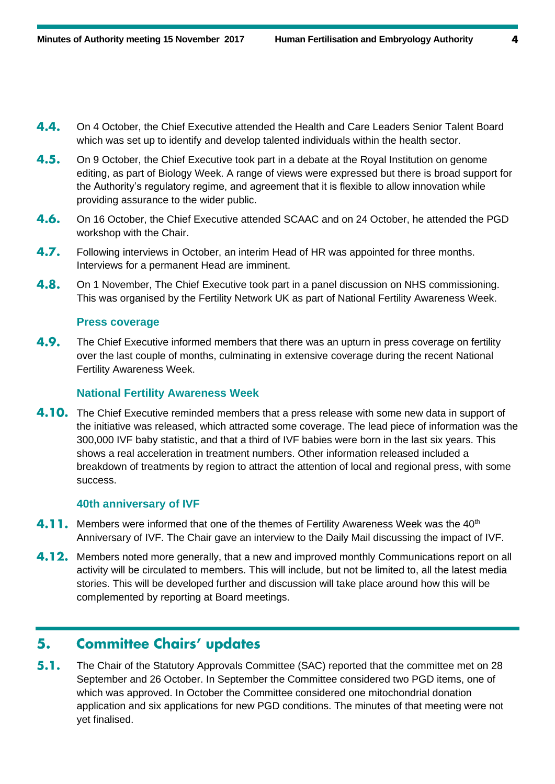- 4.4. On 4 October, the Chief Executive attended the Health and Care Leaders Senior Talent Board which was set up to identify and develop talented individuals within the health sector.
- $4.5.$ On 9 October, the Chief Executive took part in a debate at the Royal Institution on genome editing, as part of Biology Week. A range of views were expressed but there is broad support for the Authority's regulatory regime, and agreement that it is flexible to allow innovation while providing assurance to the wider public.
- $4.6.$ On 16 October, the Chief Executive attended SCAAC and on 24 October, he attended the PGD workshop with the Chair.
- $4.7.$ Following interviews in October, an interim Head of HR was appointed for three months. Interviews for a permanent Head are imminent.
- 4.8. On 1 November, The Chief Executive took part in a panel discussion on NHS commissioning. This was organised by the Fertility Network UK as part of National Fertility Awareness Week.

## **Press coverage**

4.9. The Chief Executive informed members that there was an upturn in press coverage on fertility over the last couple of months, culminating in extensive coverage during the recent National Fertility Awareness Week.

## **National Fertility Awareness Week**

**4.10.** The Chief Executive reminded members that a press release with some new data in support of the initiative was released, which attracted some coverage. The lead piece of information was the 300,000 IVF baby statistic, and that a third of IVF babies were born in the last six years. This shows a real acceleration in treatment numbers. Other information released included a breakdown of treatments by region to attract the attention of local and regional press, with some success.

## **40th anniversary of IVF**

- 4.11. Members were informed that one of the themes of Fertility Awareness Week was the 40<sup>th</sup> Anniversary of IVF. The Chair gave an interview to the Daily Mail discussing the impact of IVF.
- **4.12.** Members noted more generally, that a new and improved monthly Communications report on all activity will be circulated to members. This will include, but not be limited to, all the latest media stories. This will be developed further and discussion will take place around how this will be complemented by reporting at Board meetings.

#### **Committee Chairs' updates** 5.

 $5.1.$ The Chair of the Statutory Approvals Committee (SAC) reported that the committee met on 28 September and 26 October. In September the Committee considered two PGD items, one of which was approved. In October the Committee considered one mitochondrial donation application and six applications for new PGD conditions. The minutes of that meeting were not yet finalised.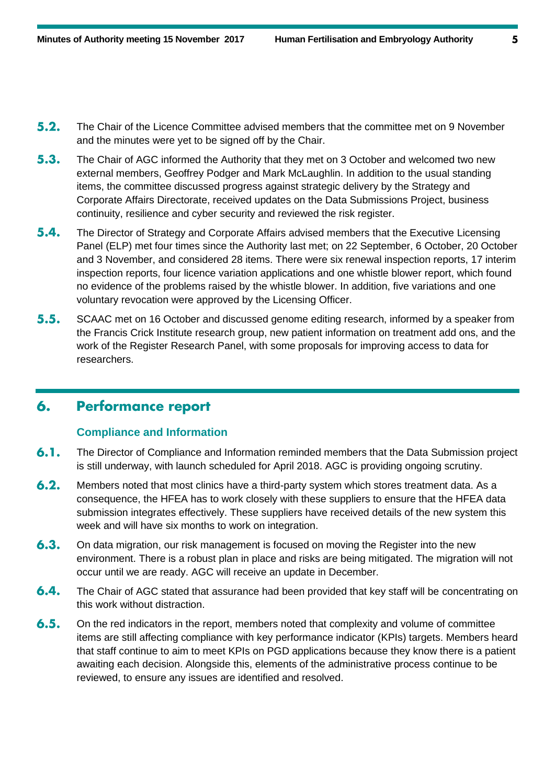- $5.2.$ The Chair of the Licence Committee advised members that the committee met on 9 November and the minutes were yet to be signed off by the Chair.
- $5.3.$ The Chair of AGC informed the Authority that they met on 3 October and welcomed two new external members, Geoffrey Podger and Mark McLaughlin. In addition to the usual standing items, the committee discussed progress against strategic delivery by the Strategy and Corporate Affairs Directorate, received updates on the Data Submissions Project, business continuity, resilience and cyber security and reviewed the risk register.
- $5.4.$ The Director of Strategy and Corporate Affairs advised members that the Executive Licensing Panel (ELP) met four times since the Authority last met; on 22 September, 6 October, 20 October and 3 November, and considered 28 items. There were six renewal inspection reports, 17 interim inspection reports, four licence variation applications and one whistle blower report, which found no evidence of the problems raised by the whistle blower. In addition, five variations and one voluntary revocation were approved by the Licensing Officer.
- $5.5.$ SCAAC met on 16 October and discussed genome editing research, informed by a speaker from the Francis Crick Institute research group, new patient information on treatment add ons, and the work of the Register Research Panel, with some proposals for improving access to data for researchers.

#### **Performance report** 6.

## **Compliance and Information**

- $6.1.$ The Director of Compliance and Information reminded members that the Data Submission project is still underway, with launch scheduled for April 2018. AGC is providing ongoing scrutiny.
- $6.2.$ Members noted that most clinics have a third-party system which stores treatment data. As a consequence, the HFEA has to work closely with these suppliers to ensure that the HFEA data submission integrates effectively. These suppliers have received details of the new system this week and will have six months to work on integration.
- $6.3.$ On data migration, our risk management is focused on moving the Register into the new environment. There is a robust plan in place and risks are being mitigated. The migration will not occur until we are ready. AGC will receive an update in December.
- $6.4.$ The Chair of AGC stated that assurance had been provided that key staff will be concentrating on this work without distraction.
- $6.5.$ On the red indicators in the report, members noted that complexity and volume of committee items are still affecting compliance with key performance indicator (KPIs) targets. Members heard that staff continue to aim to meet KPIs on PGD applications because they know there is a patient awaiting each decision. Alongside this, elements of the administrative process continue to be reviewed, to ensure any issues are identified and resolved.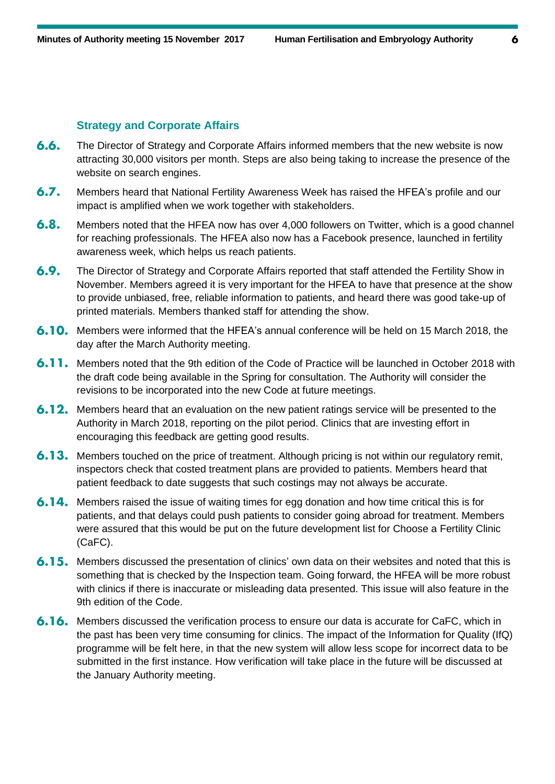## **Strategy and Corporate Affairs**

- $6.6.$ The Director of Strategy and Corporate Affairs informed members that the new website is now attracting 30,000 visitors per month. Steps are also being taking to increase the presence of the website on search engines.
- $6.7.$ Members heard that National Fertility Awareness Week has raised the HFEA's profile and our impact is amplified when we work together with stakeholders.
- $6.8.$ Members noted that the HFEA now has over 4,000 followers on Twitter, which is a good channel for reaching professionals. The HFEA also now has a Facebook presence, launched in fertility awareness week, which helps us reach patients.
- $6.9.$ The Director of Strategy and Corporate Affairs reported that staff attended the Fertility Show in November. Members agreed it is very important for the HFEA to have that presence at the show to provide unbiased, free, reliable information to patients, and heard there was good take-up of printed materials. Members thanked staff for attending the show.
- 6.10. Members were informed that the HFEA's annual conference will be held on 15 March 2018, the day after the March Authority meeting.
- **6.11.** Members noted that the 9th edition of the Code of Practice will be launched in October 2018 with the draft code being available in the Spring for consultation. The Authority will consider the revisions to be incorporated into the new Code at future meetings.
- **6.12.** Members heard that an evaluation on the new patient ratings service will be presented to the Authority in March 2018, reporting on the pilot period. Clinics that are investing effort in encouraging this feedback are getting good results.
- **6.13.** Members touched on the price of treatment. Although pricing is not within our regulatory remit, inspectors check that costed treatment plans are provided to patients. Members heard that patient feedback to date suggests that such costings may not always be accurate.
- 6.14. Members raised the issue of waiting times for egg donation and how time critical this is for patients, and that delays could push patients to consider going abroad for treatment. Members were assured that this would be put on the future development list for Choose a Fertility Clinic (CaFC).
- **6.15.** Members discussed the presentation of clinics' own data on their websites and noted that this is something that is checked by the Inspection team. Going forward, the HFEA will be more robust with clinics if there is inaccurate or misleading data presented. This issue will also feature in the 9th edition of the Code.
- 6.16. Members discussed the verification process to ensure our data is accurate for CaFC, which in the past has been very time consuming for clinics. The impact of the Information for Quality (IfQ) programme will be felt here, in that the new system will allow less scope for incorrect data to be submitted in the first instance. How verification will take place in the future will be discussed at the January Authority meeting.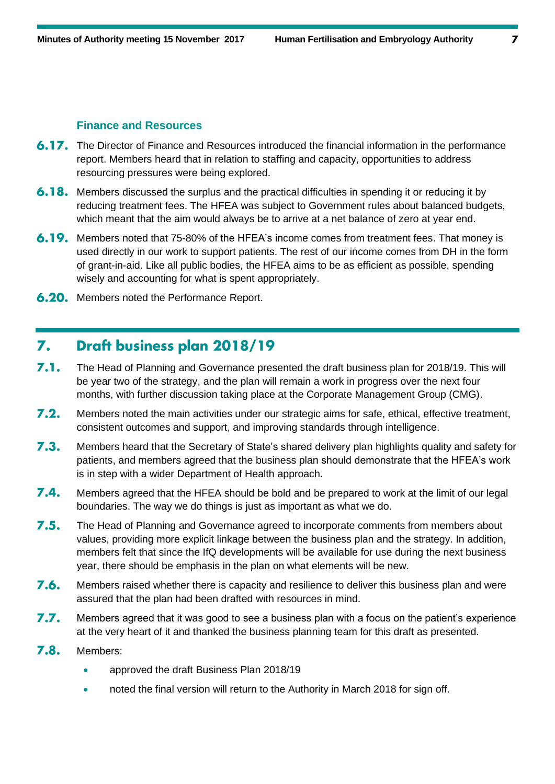## **Finance and Resources**

- **6.17.** The Director of Finance and Resources introduced the financial information in the performance report. Members heard that in relation to staffing and capacity, opportunities to address resourcing pressures were being explored.
- 6.18. Members discussed the surplus and the practical difficulties in spending it or reducing it by reducing treatment fees. The HFEA was subject to Government rules about balanced budgets, which meant that the aim would always be to arrive at a net balance of zero at year end.
- 6.19. Members noted that 75-80% of the HFEA's income comes from treatment fees. That money is used directly in our work to support patients. The rest of our income comes from DH in the form of grant-in-aid. Like all public bodies, the HFEA aims to be as efficient as possible, spending wisely and accounting for what is spent appropriately.
- **6.20.** Members noted the Performance Report.

## Draft business plan 2018/19 7.

- $7.1.$ The Head of Planning and Governance presented the draft business plan for 2018/19. This will be year two of the strategy, and the plan will remain a work in progress over the next four months, with further discussion taking place at the Corporate Management Group (CMG).
- $7.2.$ Members noted the main activities under our strategic aims for safe, ethical, effective treatment, consistent outcomes and support, and improving standards through intelligence.
- $7.3.$ Members heard that the Secretary of State's shared delivery plan highlights quality and safety for patients, and members agreed that the business plan should demonstrate that the HFEA's work is in step with a wider Department of Health approach.
- $7.4.$ Members agreed that the HFEA should be bold and be prepared to work at the limit of our legal boundaries. The way we do things is just as important as what we do.
- $7.5.$ The Head of Planning and Governance agreed to incorporate comments from members about values, providing more explicit linkage between the business plan and the strategy. In addition, members felt that since the IfQ developments will be available for use during the next business year, there should be emphasis in the plan on what elements will be new.
- $7.6.$ Members raised whether there is capacity and resilience to deliver this business plan and were assured that the plan had been drafted with resources in mind.
- $7.7.$ Members agreed that it was good to see a business plan with a focus on the patient's experience at the very heart of it and thanked the business planning team for this draft as presented.
- $7.8.$ Members:
	- approved the draft Business Plan 2018/19
	- noted the final version will return to the Authority in March 2018 for sign off.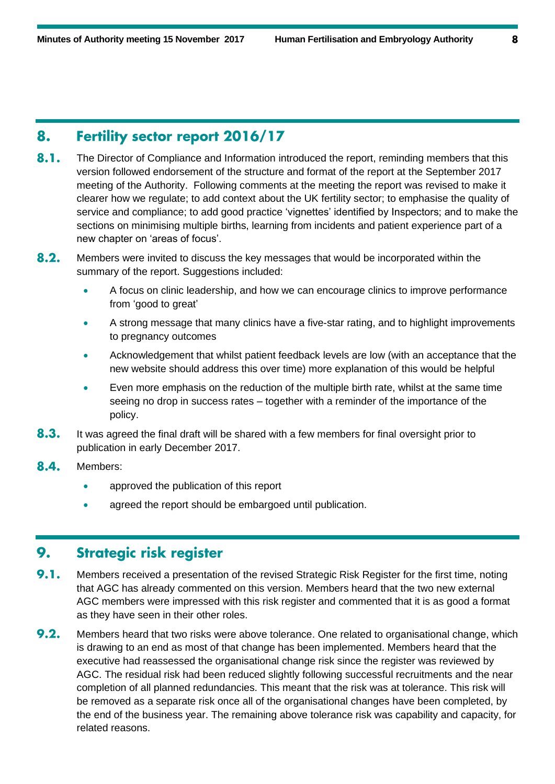## Fertility sector report 2016/17 8.

- $8.1.$ The Director of Compliance and Information introduced the report, reminding members that this version followed endorsement of the structure and format of the report at the September 2017 meeting of the Authority. Following comments at the meeting the report was revised to make it clearer how we regulate; to add context about the UK fertility sector; to emphasise the quality of service and compliance; to add good practice 'vignettes' identified by Inspectors; and to make the sections on minimising multiple births, learning from incidents and patient experience part of a new chapter on 'areas of focus'.
- $8.2.$ Members were invited to discuss the key messages that would be incorporated within the summary of the report. Suggestions included:
	- A focus on clinic leadership, and how we can encourage clinics to improve performance from 'good to great'
	- A strong message that many clinics have a five-star rating, and to highlight improvements to pregnancy outcomes
	- Acknowledgement that whilst patient feedback levels are low (with an acceptance that the new website should address this over time) more explanation of this would be helpful
	- Even more emphasis on the reduction of the multiple birth rate, whilst at the same time seeing no drop in success rates – together with a reminder of the importance of the policy.
- $8.3.$ It was agreed the final draft will be shared with a few members for final oversight prior to publication in early December 2017.
- 8.4. Members:
	- approved the publication of this report
	- agreed the report should be embargoed until publication.

## **Strategic risk register** 9.

- 9.1. Members received a presentation of the revised Strategic Risk Register for the first time, noting that AGC has already commented on this version. Members heard that the two new external AGC members were impressed with this risk register and commented that it is as good a format as they have seen in their other roles.
- $9.2.$ Members heard that two risks were above tolerance. One related to organisational change, which is drawing to an end as most of that change has been implemented. Members heard that the executive had reassessed the organisational change risk since the register was reviewed by AGC. The residual risk had been reduced slightly following successful recruitments and the near completion of all planned redundancies. This meant that the risk was at tolerance. This risk will be removed as a separate risk once all of the organisational changes have been completed, by the end of the business year. The remaining above tolerance risk was capability and capacity, for related reasons.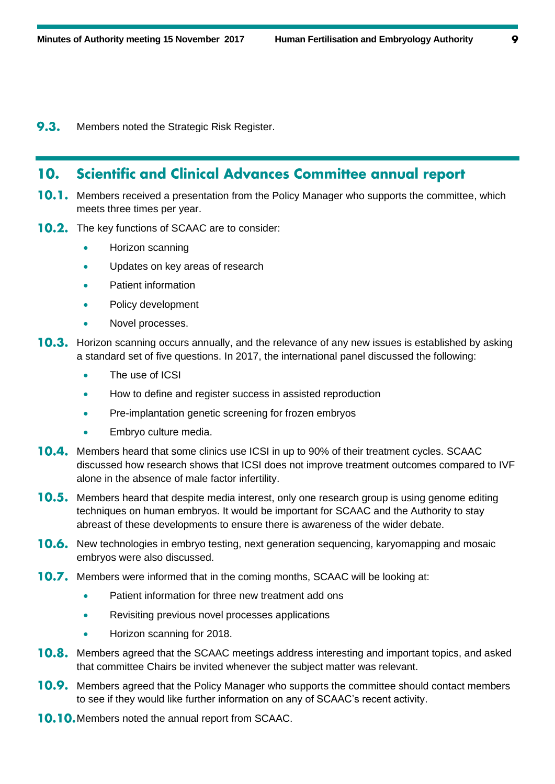$9.3.$ Members noted the Strategic Risk Register.

## **Scientific and Clinical Advances Committee annual report** 10.

- **10.1.** Members received a presentation from the Policy Manager who supports the committee, which meets three times per year.
- **10.2.** The key functions of SCAAC are to consider:
	- Horizon scanning
	- Updates on key areas of research
	- Patient information
	- Policy development
	- Novel processes.
- **10.3.** Horizon scanning occurs annually, and the relevance of any new issues is established by asking a standard set of five questions. In 2017, the international panel discussed the following:
	- The use of ICSI
	- How to define and register success in assisted reproduction
	- Pre-implantation genetic screening for frozen embryos
	- Embryo culture media.
- **10.4.** Members heard that some clinics use ICSI in up to 90% of their treatment cycles. SCAAC discussed how research shows that ICSI does not improve treatment outcomes compared to IVF alone in the absence of male factor infertility.
- **10.5.** Members heard that despite media interest, only one research group is using genome editing techniques on human embryos. It would be important for SCAAC and the Authority to stay abreast of these developments to ensure there is awareness of the wider debate.
- 10.6. New technologies in embryo testing, next generation sequencing, karyomapping and mosaic embryos were also discussed.
- **10.7.** Members were informed that in the coming months, SCAAC will be looking at:
	- Patient information for three new treatment add ons
	- Revisiting previous novel processes applications
	- Horizon scanning for 2018.
- 10.8. Members agreed that the SCAAC meetings address interesting and important topics, and asked that committee Chairs be invited whenever the subject matter was relevant.
- 10.9. Members agreed that the Policy Manager who supports the committee should contact members to see if they would like further information on any of SCAAC's recent activity.
- **10.10.** Members noted the annual report from SCAAC.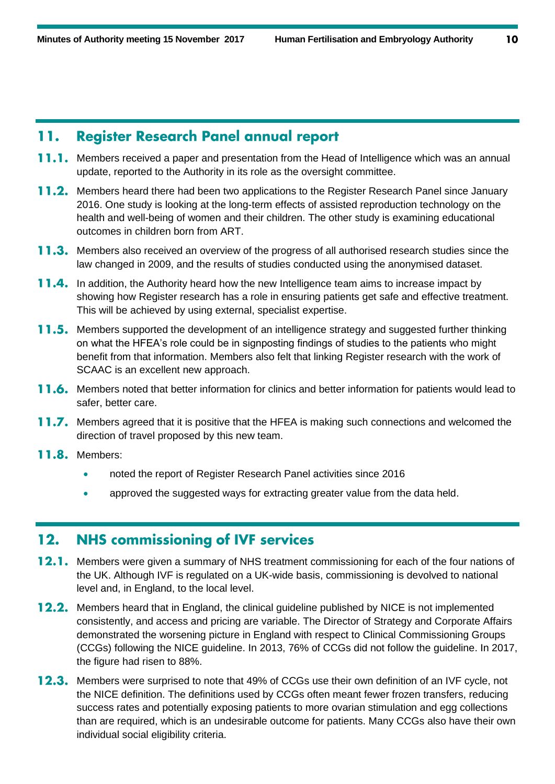#### **Register Research Panel annual report** 11.

- **11.1.** Members received a paper and presentation from the Head of Intelligence which was an annual update, reported to the Authority in its role as the oversight committee.
- **11.2.** Members heard there had been two applications to the Register Research Panel since January 2016. One study is looking at the long-term effects of assisted reproduction technology on the health and well-being of women and their children. The other study is examining educational outcomes in children born from ART.
- **11.3.** Members also received an overview of the progress of all authorised research studies since the law changed in 2009, and the results of studies conducted using the anonymised dataset.
- **11.4.** In addition, the Authority heard how the new Intelligence team aims to increase impact by showing how Register research has a role in ensuring patients get safe and effective treatment. This will be achieved by using external, specialist expertise.
- **11.5.** Members supported the development of an intelligence strategy and suggested further thinking on what the HFEA's role could be in signposting findings of studies to the patients who might benefit from that information. Members also felt that linking Register research with the work of SCAAC is an excellent new approach.
- **11.6.** Members noted that better information for clinics and better information for patients would lead to safer, better care.
- **11.7.** Members agreed that it is positive that the HFEA is making such connections and welcomed the direction of travel proposed by this new team.
- 11.8. Members:
	- noted the report of Register Research Panel activities since 2016
	- approved the suggested ways for extracting greater value from the data held.

#### **NHS commissioning of IVF services**  $12.$

- **12.1.** Members were given a summary of NHS treatment commissioning for each of the four nations of the UK. Although IVF is regulated on a UK-wide basis, commissioning is devolved to national level and, in England, to the local level.
- **12.2.** Members heard that in England, the clinical guideline published by NICE is not implemented consistently, and access and pricing are variable. The Director of Strategy and Corporate Affairs demonstrated the worsening picture in England with respect to Clinical Commissioning Groups (CCGs) following the NICE guideline. In 2013, 76% of CCGs did not follow the guideline. In 2017, the figure had risen to 88%.
- **12.3.** Members were surprised to note that 49% of CCGs use their own definition of an IVF cycle, not the NICE definition. The definitions used by CCGs often meant fewer frozen transfers, reducing success rates and potentially exposing patients to more ovarian stimulation and egg collections than are required, which is an undesirable outcome for patients. Many CCGs also have their own individual social eligibility criteria.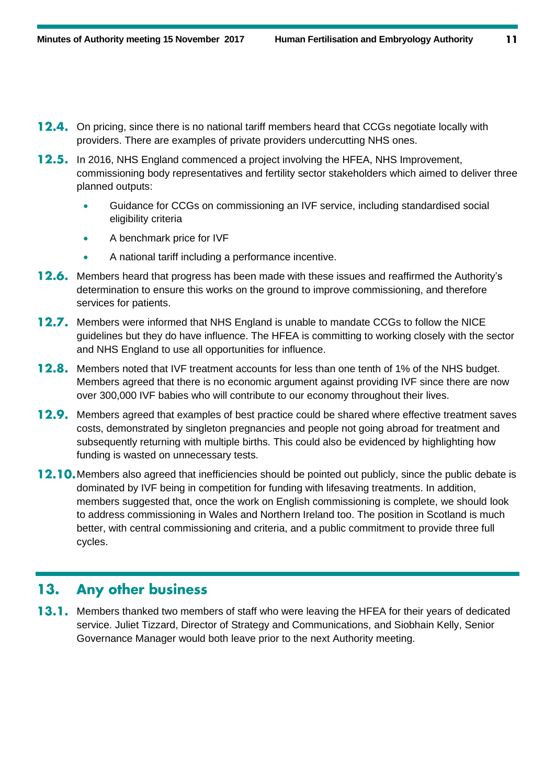- **12.4.** On pricing, since there is no national tariff members heard that CCGs negotiate locally with providers. There are examples of private providers undercutting NHS ones.
- **12.5.** In 2016, NHS England commenced a project involving the HFEA, NHS Improvement, commissioning body representatives and fertility sector stakeholders which aimed to deliver three planned outputs:
	- Guidance for CCGs on commissioning an IVF service, including standardised social eligibility criteria
	- A benchmark price for IVF
	- A national tariff including a performance incentive.
- **12.6.** Members heard that progress has been made with these issues and reaffirmed the Authority's determination to ensure this works on the ground to improve commissioning, and therefore services for patients.
- **12.7.** Members were informed that NHS England is unable to mandate CCGs to follow the NICE guidelines but they do have influence. The HFEA is committing to working closely with the sector and NHS England to use all opportunities for influence.
- **12.8.** Members noted that IVF treatment accounts for less than one tenth of 1% of the NHS budget. Members agreed that there is no economic argument against providing IVF since there are now over 300,000 IVF babies who will contribute to our economy throughout their lives.
- **12.9.** Members agreed that examples of best practice could be shared where effective treatment saves costs, demonstrated by singleton pregnancies and people not going abroad for treatment and subsequently returning with multiple births. This could also be evidenced by highlighting how funding is wasted on unnecessary tests.
- **12.10.** Members also agreed that inefficiencies should be pointed out publicly, since the public debate is dominated by IVF being in competition for funding with lifesaving treatments. In addition, members suggested that, once the work on English commissioning is complete, we should look to address commissioning in Wales and Northern Ireland too. The position in Scotland is much better, with central commissioning and criteria, and a public commitment to provide three full cycles.

## **Any other business** 13.

**13.1.** Members thanked two members of staff who were leaving the HFEA for their years of dedicated service. Juliet Tizzard, Director of Strategy and Communications, and Siobhain Kelly, Senior Governance Manager would both leave prior to the next Authority meeting.